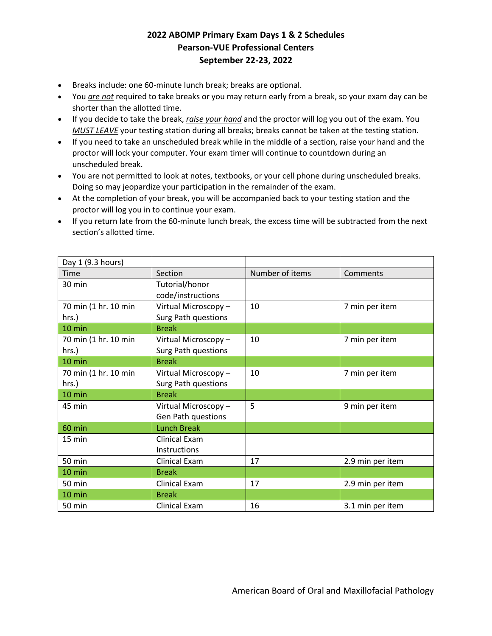## **2022 ABOMP Primary Exam Days 1 & 2 Schedules Pearson-VUE Professional Centers September 22-23, 2022**

- Breaks include: one 60-minute lunch break; breaks are optional.
- You *are not* required to take breaks or you may return early from a break, so your exam day can be shorter than the allotted time.
- If you decide to take the break, *raise your hand* and the proctor will log you out of the exam. You *MUST LEAVE* your testing station during all breaks; breaks cannot be taken at the testing station.
- If you need to take an unscheduled break while in the middle of a section, raise your hand and the proctor will lock your computer. Your exam timer will continue to countdown during an unscheduled break.
- You are not permitted to look at notes, textbooks, or your cell phone during unscheduled breaks. Doing so may jeopardize your participation in the remainder of the exam.
- At the completion of your break, you will be accompanied back to your testing station and the proctor will log you in to continue your exam.
- If you return late from the 60-minute lunch break, the excess time will be subtracted from the next section's allotted time.

| Day 1 (9.3 hours)    |                            |                 |                  |
|----------------------|----------------------------|-----------------|------------------|
| Time                 | Section                    | Number of items | Comments         |
| 30 min               | Tutorial/honor             |                 |                  |
|                      | code/instructions          |                 |                  |
| 70 min (1 hr. 10 min | Virtual Microscopy-        | 10              | 7 min per item   |
| hrs.)                | Surg Path questions        |                 |                  |
| 10 min               | <b>Break</b>               |                 |                  |
| 70 min (1 hr. 10 min | Virtual Microscopy-        | 10              | 7 min per item   |
| hrs.)                | <b>Surg Path questions</b> |                 |                  |
| 10 min               | <b>Break</b>               |                 |                  |
| 70 min (1 hr. 10 min | Virtual Microscopy-        | 10              | 7 min per item   |
| hrs.)                | <b>Surg Path questions</b> |                 |                  |
| 10 min               | <b>Break</b>               |                 |                  |
| 45 min               | Virtual Microscopy-        | 5               | 9 min per item   |
|                      | Gen Path questions         |                 |                  |
| 60 min               | <b>Lunch Break</b>         |                 |                  |
| $15 \text{ min}$     | Clinical Exam              |                 |                  |
|                      | Instructions               |                 |                  |
| 50 min               | <b>Clinical Exam</b>       | 17              | 2.9 min per item |
| 10 min               | <b>Break</b>               |                 |                  |
| 50 min               | Clinical Exam              | 17              | 2.9 min per item |
| 10 min               | <b>Break</b>               |                 |                  |
| <b>50 min</b>        | <b>Clinical Exam</b>       | 16              | 3.1 min per item |